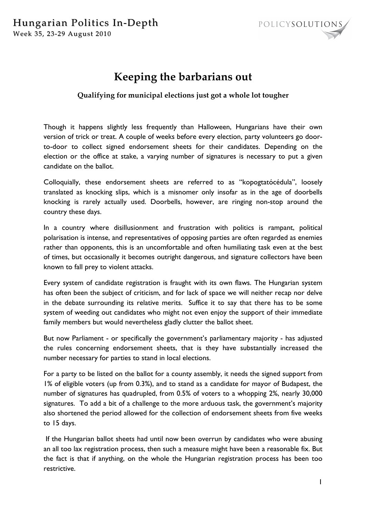

## **Keeping the barbarians out**

## **Qualifying for municipal elections just got a whole lot tougher**

Though it happens slightly less frequently than Halloween, Hungarians have their own version of trick or treat. A couple of weeks before every election, party volunteers go doorto-door to collect signed endorsement sheets for their candidates. Depending on the election or the office at stake, a varying number of signatures is necessary to put a given candidate on the ballot.

Colloquially, these endorsement sheets are referred to as "kopogtatócédula", loosely translated as knocking slips, which is a misnomer only insofar as in the age of doorbells knocking is rarely actually used. Doorbells, however, are ringing non-stop around the country these days.

In a country where disillusionment and frustration with politics is rampant, political polarisation is intense, and representatives of opposing parties are often regarded as enemies rather than opponents, this is an uncomfortable and often humiliating task even at the best of times, but occasionally it becomes outright dangerous, and signature collectors have been known to fall prey to violent attacks.

Every system of candidate registration is fraught with its own flaws. The Hungarian system has often been the subject of criticism, and for lack of space we will neither recap nor delve in the debate surrounding its relative merits. Suffice it to say that there has to be some system of weeding out candidates who might not even enjoy the support of their immediate family members but would nevertheless gladly clutter the ballot sheet.

But now Parliament - or specifically the government's parliamentary majority - has adjusted the rules concerning endorsement sheets, that is they have substantially increased the number necessary for parties to stand in local elections.

For a party to be listed on the ballot for a county assembly, it needs the signed support from 1% of eligible voters (up from 0.3%), and to stand as a candidate for mayor of Budapest, the number of signatures has quadrupled, from 0.5% of voters to a whopping 2%, nearly 30,000 signatures. To add a bit of a challenge to the more arduous task, the government's majority also shortened the period allowed for the collection of endorsement sheets from five weeks to 15 days.

 If the Hungarian ballot sheets had until now been overrun by candidates who were abusing an all too lax registration process, then such a measure might have been a reasonable fix. But the fact is that if anything, on the whole the Hungarian registration process has been too restrictive.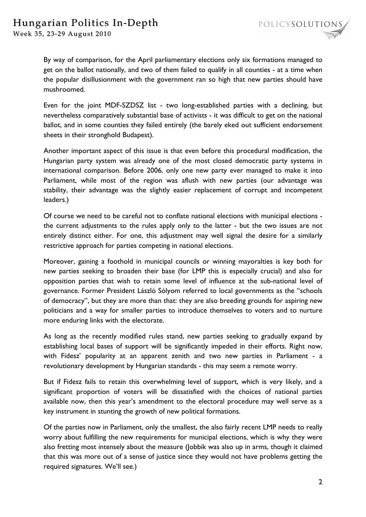

By way of comparison, for the April parliamentary elections only six formations managed to get on the ballot nationally, and two of them failed to qualify in all counties - at a time when the popular disillusionment with the government ran so high that new parties should have mushroomed.

Even for the joint MDF-SZDSZ list - two long-established parties with a declining, but nevertheless comparatively substantial base of activists - it was difficult to get on the national ballot, and in some counties they failed entirely (the barely eked out sufficient endorsement sheets in their stronghold Budapest).

Another important aspect of this issue is that even before this procedural modification, the Hungarian party system was already one of the most closed democratic party systems in international comparison. Before 2006, only one new party ever managed to make it into Parliament, while most of the region was aflush with new parties (our advantage was stability, their advantage was the slightly easier replacement of corrupt and incompetent leaders.)

Of course we need to be careful not to conflate national elections with municipal elections the current adjustments to the rules apply only to the latter - but the two issues are not entirely distinct either. For one, this adjustment may well signal the desire for a similarly restrictive approach for parties competing in national elections.

Moreover, gaining a foothold in municipal councils or winning mayoralties is key both for new parties seeking to broaden their base (for LMP this is especially crucial) and also for opposition parties that wish to retain some level of influence at the sub-national level of governance. Former President László Sólyom referred to local governments as the "schools of democracy", but they are more than that: they are also breeding grounds for aspiring new politicians and a way for smaller parties to introduce themselves to voters and to nurture more enduring links with the electorate.

As long as the recently modified rules stand, new parties seeking to gradually expand by establishing local bases of support will be significantly impeded in their efforts. Right now, with Fidesz' popularity at an apparent zenith and two new parties in Parliament - a revolutionary development by Hungarian standards - this may seem a remote worry.

But if Fidesz fails to retain this overwhelming level of support, which is very likely, and a significant proportion of voters will be dissatisfied with the choices of national parties available now, then this year's amendment to the electoral procedure may well serve as a key instrument in stunting the growth of new political formations.

Of the parties now in Parliament, only the smallest, the also fairly recent LMP needs to really worry about fulfilling the new requirements for municipal elections, which is why they were also fretting most intensely about the measure (Jobbik was also up in arms, though it claimed that this was more out of a sense of justice since they would not have problems getting the required signatures. We'll see.)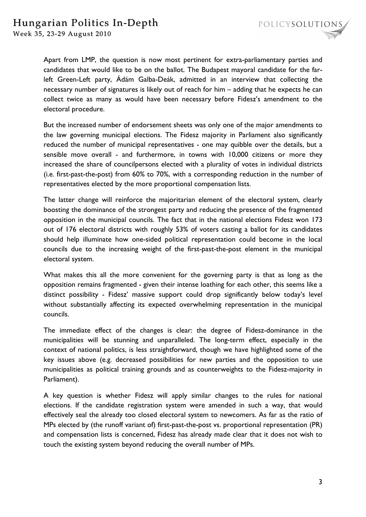Week 35, 23-29 August 2010

Apart from LMP, the question is now most pertinent for extra-parliamentary parties and candidates that would like to be on the ballot. The Budapest mayoral candidate for the farleft Green-Left party, Ádám Galba-Deák, admitted in an interview that collecting the necessary number of signatures is likely out of reach for him – adding that he expects he can collect twice as many as would have been necessary before Fidesz's amendment to the electoral procedure.

But the increased number of endorsement sheets was only one of the major amendments to the law governing municipal elections. The Fidesz majority in Parliament also significantly reduced the number of municipal representatives - one may quibble over the details, but a sensible move overall - and furthermore, in towns with 10,000 citizens or more they increased the share of councilpersons elected with a plurality of votes in individual districts (i.e. first-past-the-post) from 60% to 70%, with a corresponding reduction in the number of representatives elected by the more proportional compensation lists.

The latter change will reinforce the majoritarian element of the electoral system, clearly boosting the dominance of the strongest party and reducing the presence of the fragmented opposition in the municipal councils. The fact that in the national elections Fidesz won 173 out of 176 electoral districts with roughly 53% of voters casting a ballot for its candidates should help illuminate how one-sided political representation could become in the local councils due to the increasing weight of the first-past-the-post element in the municipal electoral system.

What makes this all the more convenient for the governing party is that as long as the opposition remains fragmented - given their intense loathing for each other, this seems like a distinct possibility - Fidesz' massive support could drop significantly below today's level without substantially affecting its expected overwhelming representation in the municipal councils.

The immediate effect of the changes is clear: the degree of Fidesz-dominance in the municipalities will be stunning and unparalleled. The long-term effect, especially in the context of national politics, is less straightforward, though we have highlighted some of the key issues above (e.g. decreased possibilities for new parties and the opposition to use municipalities as political training grounds and as counterweights to the Fidesz-majority in Parliament).

A key question is whether Fidesz will apply similar changes to the rules for national elections. If the candidate registration system were amended in such a way, that would effectively seal the already too closed electoral system to newcomers. As far as the ratio of MPs elected by (the runoff variant of) first-past-the-post vs. proportional representation (PR) and compensation lists is concerned, Fidesz has already made clear that it does not wish to touch the existing system beyond reducing the overall number of MPs.